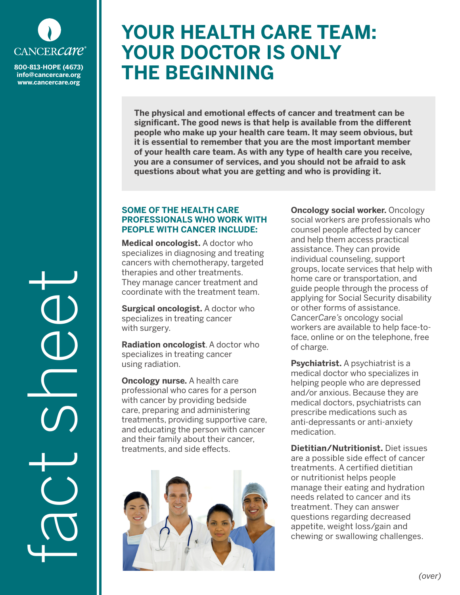

**info@cancercare.org www.cancercare.org**

fact sheet

## **YOUR HEALTH CARE TEAM: YOUR DOCTOR IS ONLY 800-813-HOPE (4673)** THE BEGINNING

**The physical and emotional effects of cancer and treatment can be significant. The good news is that help is available from the different people who make up your health care team. It may seem obvious, but it is essential to remember that you are the most important member of your health care team. As with any type of health care you receive, you are a consumer of services, and you should not be afraid to ask questions about what you are getting and who is providing it.**

## **SOME OF THE HEALTH CARE PROFESSIONALS WHO WORK WITH PEOPLE WITH CANCER INCLUDE:**

**Medical oncologist.** A doctor who specializes in diagnosing and treating cancers with chemotherapy, targeted therapies and other treatments. They manage cancer treatment and coordinate with the treatment team.

**Surgical oncologist.** A doctor who specializes in treating cancer with surgery.

**Radiation oncologist**. A doctor who specializes in treating cancer using radiation.

**Oncology nurse.** A health care professional who cares for a person with cancer by providing bedside care, preparing and administering treatments, providing supportive care, and educating the person with cancer and their family about their cancer, treatments, and side effects.



**Oncology social worker.** Oncology social workers are professionals who counsel people affected by cancer and help them access practical assistance. They can provide individual counseling, support groups, locate services that help with home care or transportation, and guide people through the process of applying for Social Security disability or other forms of assistance. Cancer*Care's* oncology social workers are available to help face-toface, online or on the telephone, free of charge.

**Psychiatrist.** A psychiatrist is a medical doctor who specializes in helping people who are depressed and/or anxious. Because they are medical doctors, psychiatrists can prescribe medications such as anti-depressants or anti-anxiety medication.

**Dietitian/Nutritionist.** Diet issues are a possible side effect of cancer treatments. A certified dietitian or nutritionist helps people manage their eating and hydration needs related to cancer and its treatment. They can answer questions regarding decreased appetite, weight loss/gain and chewing or swallowing challenges.